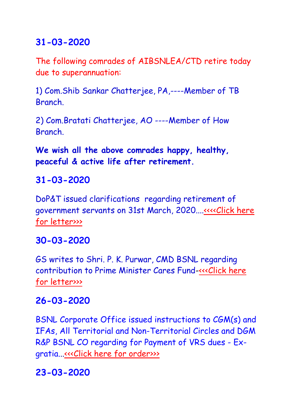## **31-03-2020**

The following comrades of AIBSNLEA/CTD retire today due to superannuation:

1) Com.Shib Sankar Chatterjee, PA,----Member of TB **Branch** 

2) Com.Bratati Chatterjee, AO ----Member of How Branch.

**We wish all the above comrades happy, healthy, peaceful & active life after retirement.**

# **31-03-2020**

DoP&T issued clarifications regarding retirement of government servants on 31st March, 2020...[.<<<<Click here](http://www.aibsnleachq.in/dopt_31032020.pdf)  [for letter>>>](http://www.aibsnleachq.in/dopt_31032020.pdf)

# **30-03-2020**

GS writes to Shri. P. K. Purwar, CMD BSNL regarding contribution to Prime Minister Cares Fund[-<<<Click here](http://www.aibsnleachq.in/corona_31022020.docx%20_draft%20revised.pdf)  [for letter>>>](http://www.aibsnleachq.in/corona_31022020.docx%20_draft%20revised.pdf)

# **26-03-2020**

BSNL Corporate Office issued instructions to CGM(s) and IFAs, All Territorial and Non-Territorial Circles and DGM R&P BSNL CO regarding for Payment of VRS dues - Exgratia..[.<<<Click here for order>>>](http://www.aibsnleachq.in/5_6332148680530854096.pdf)

# **23-03-2020**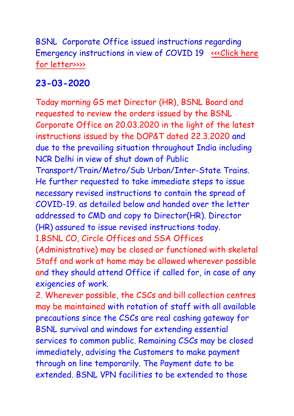BSNL Corporate Office issued instructions regarding Emergency instructions in view of COVID 19 <<<Click here [for letter>>>>](http://www.aibsnleachq.in/COVID%2019-Instructions.pdf)

### **23-03-2020**

Today morning GS met Director (HR), BSNL Board and requested to review the orders issued by the BSNL Corporate Office on 20.03.2020 in the light of the latest instructions issued by the DOP&T dated 22.3.2020 and due to the prevailing situation throughout India including NCR Delhi in view of shut down of Public Transport/Train/Metro/Sub Urban/Inter-State Trains. He further requested to take immediate steps to issue necessary revised instructions to contain the spread of COVID-19. as detailed below and handed over the letter addressed to CMD and copy to Director(HR). Director (HR) assured to issue revised instructions today. 1.BSNL CO, Circle Offices and SSA Offices (Administrative) may be closed or functioned with skeletal Staff and work at home may be allowed wherever possible

and they should attend Office if called for, in case of any exigencies of work.

2. Wherever possible, the CSCs and bill collection centres may be maintained with rotation of staff with all available precautions since the CSCs are real cashing gateway for BSNL survival and windows for extending essential services to common public. Remaining CSCs may be closed immediately, advising the Customers to make payment through on line temporarily. The Payment date to be extended. BSNL VPN facilities to be extended to those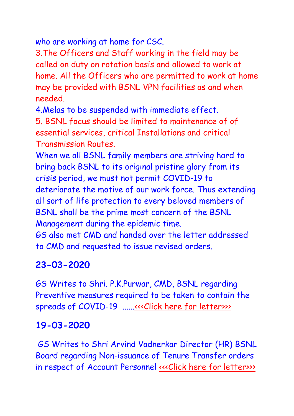who are working at home for CSC.

3.The Officers and Staff working in the field may be called on duty on rotation basis and allowed to work at home. All the Officers who are permitted to work at home may be provided with BSNL VPN facilities as and when needed.

4.Melas to be suspended with immediate effect.

5. BSNL focus should be limited to maintenance of of essential services, critical Installations and critical Transmission Routes.

When we all BSNL family members are striving hard to bring back BSNL to its original pristine glory from its crisis period, we must not permit COVID-19 to deteriorate the motive of our work force. Thus extending all sort of life protection to every beloved members of BSNL shall be the prime most concern of the BSNL Management during the epidemic time.

GS also met CMD and handed over the letter addressed to CMD and requested to issue revised orders.

# **23-03-2020**

GS Writes to Shri. P.K.Purwar, CMD, BSNL regarding Preventive measures required to be taken to contain the spreads of COVID-19 .....[.<<<Click here for letter>>>](http://www.aibsnleachq.in/CMD_220320_covid.pdf)>>>>>

# **19-03-2020**

GS Writes to Shri Arvind Vadnerkar Director (HR) BSNL Board regarding Non-issuance of Tenure Transfer orders in respect of Account Personnel «<< [Click here for letter>>>](http://www.aibsnleachq.in/DIRHR__19032020.pdf)>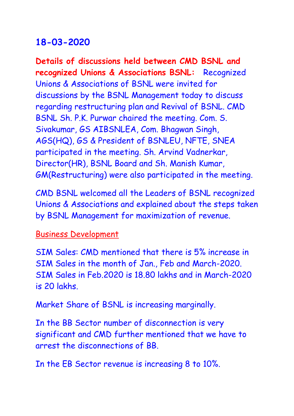#### **18-03-2020**

**Details of discussions held between CMD BSNL and recognized Unions & Associations BSNL:** Recognized Unions & Associations of BSNL were invited for discussions by the BSNL Management today to discuss regarding restructuring plan and Revival of BSNL. CMD BSNL Sh. P.K. Purwar chaired the meeting. Com. S. Sivakumar, GS AIBSNLEA, Com. Bhagwan Singh, AGS(HQ), GS & President of BSNLEU, NFTE, SNEA participated in the meeting. Sh. Arvind Vadnerkar, Director(HR), BSNL Board and Sh. Manish Kumar, GM(Restructuring) were also participated in the meeting.

CMD BSNL welcomed all the Leaders of BSNL recognized Unions & Associations and explained about the steps taken by BSNL Management for maximization of revenue.

Business Development

SIM Sales: CMD mentioned that there is 5% increase in SIM Sales in the month of Jan., Feb and March-2020. SIM Sales in Feb.2020 is 18.80 lakhs and in March-2020 is 20 lakhs.

Market Share of BSNL is increasing marginally.

In the BB Sector number of disconnection is very significant and CMD further mentioned that we have to arrest the disconnections of BB.

In the EB Sector revenue is increasing 8 to 10%.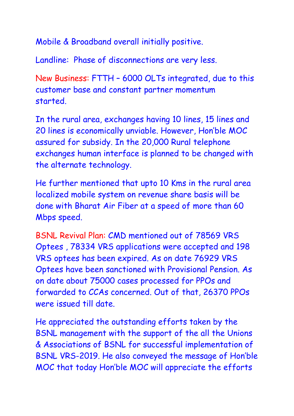Mobile & Broadband overall initially positive.

Landline: Phase of disconnections are very less.

New Business: FTTH – 6000 OLTs integrated, due to this customer base and constant partner momentum started.

In the rural area, exchanges having 10 lines, 15 lines and 20 lines is economically unviable. However, Hon'ble MOC assured for subsidy. In the 20,000 Rural telephone exchanges human interface is planned to be changed with the alternate technology.

He further mentioned that upto 10 Kms in the rural area localized mobile system on revenue share basis will be done with Bharat Air Fiber at a speed of more than 60 Mbps speed.

BSNL Revival Plan: CMD mentioned out of 78569 VRS Optees , 78334 VRS applications were accepted and 198 VRS optees has been expired. As on date 76929 VRS Optees have been sanctioned with Provisional Pension. As on date about 75000 cases processed for PPOs and forwarded to CCAs concerned. Out of that, 26370 PPOs were issued till date.

He appreciated the outstanding efforts taken by the BSNL management with the support of the all the Unions & Associations of BSNL for successful implementation of BSNL VRS-2019. He also conveyed the message of Hon'ble MOC that today Hon'ble MOC will appreciate the efforts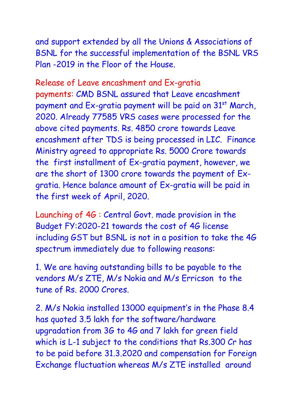and support extended by all the Unions & Associations of BSNL for the successful implementation of the BSNL VRS Plan -2019 in the Floor of the House.

Release of Leave encashment and Ex-gratia payments: CMD BSNL assured that Leave encashment payment and Ex-gratia payment will be paid on 31<sup>st</sup> March, 2020. Already 77585 VRS cases were processed for the above cited payments. Rs. 4850 crore towards Leave encashment after TDS is being processed in LIC. Finance Ministry agreed to appropriate Rs. 5000 Crore towards the first installment of Ex-gratia payment, however, we are the short of 1300 crore towards the payment of Exgratia. Hence balance amount of Ex-gratia will be paid in the first week of April, 2020.

Launching of 4G : Central Govt. made provision in the Budget FY:2020-21 towards the cost of 4G license including GST but BSNL is not in a position to take the 4G spectrum immediately due to following reasons:

1. We are having outstanding bills to be payable to the vendors M/s ZTE, M/s Nokia and M/s Erricson to the tune of Rs. 2000 Crores.

2. M/s Nokia installed 13000 equipment's in the Phase 8.4 has quoted 3.5 lakh for the software/hardware upgradation from 3G to 4G and 7 lakh for green field which is L-1 subject to the conditions that Rs.300 Cr has to be paid before 31.3.2020 and compensation for Foreign Exchange fluctuation whereas M/s ZTE installed around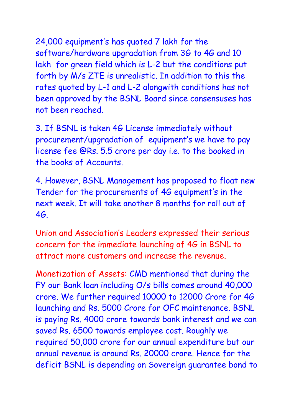24,000 equipment's has quoted 7 lakh for the software/hardware upgradation from 3G to 4G and 10 lakh for green field which is L-2 but the conditions put forth by M/s ZTE is unrealistic. In addition to this the rates quoted by L-1 and L-2 alongwith conditions has not been approved by the BSNL Board since consensuses has not been reached.

3. If BSNL is taken 4G License immediately without procurement/upgradation of equipment's we have to pay license fee @Rs. 5.5 crore per day i.e. to the booked in the books of Accounts.

4. However, BSNL Management has proposed to float new Tender for the procurements of 4G equipment's in the next week. It will take another 8 months for roll out of 4G.

Union and Association's Leaders expressed their serious concern for the immediate launching of 4G in BSNL to attract more customers and increase the revenue.

Monetization of Assets: CMD mentioned that during the FY our Bank loan including O/s bills comes around 40,000 crore. We further required 10000 to 12000 Crore for 4G launching and Rs. 5000 Crore for OFC maintenance. BSNL is paying Rs. 4000 crore towards bank interest and we can saved Rs. 6500 towards employee cost. Roughly we required 50,000 crore for our annual expenditure but our annual revenue is around Rs. 20000 crore. Hence for the deficit BSNL is depending on Sovereign guarantee bond to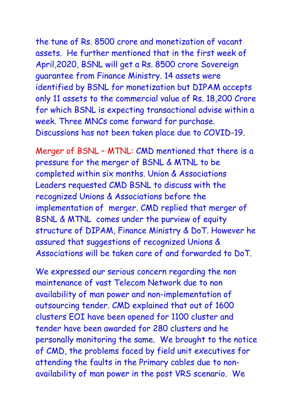# the tune of Rs. 8500 crore and monetization of vacant assets. He further mentioned that in the first week of April,2020, BSNL will get a Rs. 8500 crore Sovereign guarantee from Finance Ministry. 14 assets were identified by BSNL for monetization but DIPAM accepts

only 11 assets to the commercial value of Rs. 18,200 Crore for which BSNL is expecting transactional advise within a week. Three MNCs come forward for purchase. Discussions has not been taken place due to COVID-19.

Merger of BSNL – MTNL: CMD mentioned that there is a pressure for the merger of BSNL & MTNL to be completed within six months. Union & Associations Leaders requested CMD BSNL to discuss with the recognized Unions & Associations before the implementation of merger. CMD replied that merger of BSNL & MTNL comes under the purview of equity structure of DIPAM, Finance Ministry & DoT. However he assured that suggestions of recognized Unions & Associations will be taken care of and forwarded to DoT.

We expressed our serious concern regarding the non maintenance of vast Telecom Network due to non availability of man power and non-implementation of outsourcing tender. CMD explained that out of 1600 clusters EOI have been opened for 1100 cluster and tender have been awarded for 280 clusters and he personally monitoring the same. We brought to the notice of CMD, the problems faced by field unit executives for attending the faults in the Primary cables due to nonavailability of man power in the post VRS scenario. We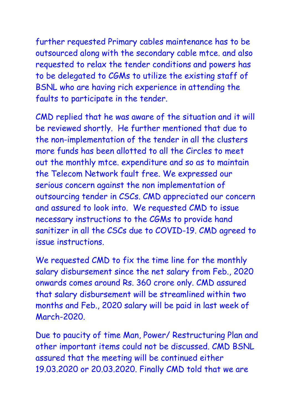further requested Primary cables maintenance has to be outsourced along with the secondary cable mtce. and also requested to relax the tender conditions and powers has to be delegated to CGMs to utilize the existing staff of BSNL who are having rich experience in attending the faults to participate in the tender.

CMD replied that he was aware of the situation and it will be reviewed shortly. He further mentioned that due to the non-implementation of the tender in all the clusters more funds has been allotted to all the Circles to meet out the monthly mtce. expenditure and so as to maintain the Telecom Network fault free. We expressed our serious concern against the non implementation of outsourcing tender in CSCs. CMD appreciated our concern and assured to look into. We requested CMD to issue necessary instructions to the CGMs to provide hand sanitizer in all the CSCs due to COVID-19. CMD agreed to issue instructions.

We requested CMD to fix the time line for the monthly salary disbursement since the net salary from Feb., 2020 onwards comes around Rs. 360 crore only. CMD assured that salary disbursement will be streamlined within two months and Feb., 2020 salary will be paid in last week of March-2020.

Due to paucity of time Man, Power/ Restructuring Plan and other important items could not be discussed. CMD BSNL assured that the meeting will be continued either 19.03.2020 or 20.03.2020. Finally CMD told that we are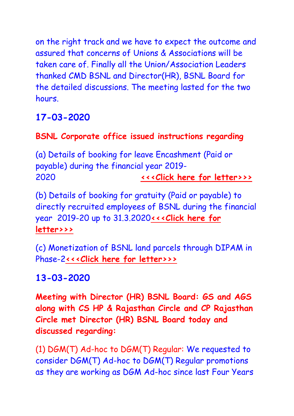on the right track and we have to expect the outcome and assured that concerns of Unions & Associations will be taken care of. Finally all the Union/Association Leaders thanked CMD BSNL and Director(HR), BSNL Board for the detailed discussions. The meeting lasted for the two hours.

# **17-03-2020**

### **BSNL Corporate office issued instructions regarding**

(a) Details of booking for leave Encashment (Paid or payable) during the financial year 2019- 2020 **[<<<](http://www.aibsnleachq.in/Mandatory%20Training.pdf)[Click here for letter>>>](http://www.aibsnleachq.in/Leave%20Encashment%202020%20Closure%20Accounts.pdf)**

(b) Details of booking for gratuity (Paid or payable) to directly recruited employees of BSNL during the financial year 2019-20 up to 31.3.2020**[<<<](http://www.aibsnleachq.in/Mandatory%20Training.pdf)[Click here for](http://www.aibsnleachq.in/Gratuity%202020%20Closure%20Accounts%20Letter%20201920.pdf)  [letter>>>](http://www.aibsnleachq.in/Gratuity%202020%20Closure%20Accounts%20Letter%20201920.pdf)**

(c) Monetization of BSNL land parcels through DIPAM in Phase-2**[<<<](http://www.aibsnleachq.in/Mandatory%20Training.pdf)[Click here for letter>>>](http://www.aibsnleachq.in/20200316%20Dipam2%20request%20to%20CGMs%20for%20documents.pdf)**

### **13-03-2020**

**Meeting with Director (HR) BSNL Board: GS and AGS along with CS HP & Rajasthan Circle and CP Rajasthan Circle met Director (HR) BSNL Board today and discussed regarding:**

(1) DGM(T) Ad-hoc to DGM(T) Regular: We requested to consider DGM(T) Ad-hoc to DGM(T) Regular promotions as they are working as DGM Ad-hoc since last Four Years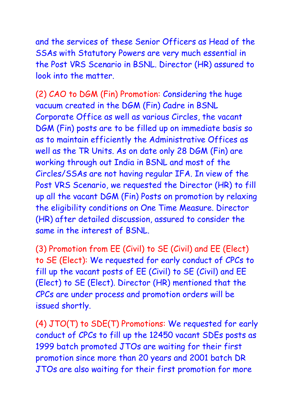and the services of these Senior Officers as Head of the SSAs with Statutory Powers are very much essential in the Post VRS Scenario in BSNL. Director (HR) assured to look into the matter.

(2) CAO to DGM (Fin) Promotion: Considering the huge vacuum created in the DGM (Fin) Cadre in BSNL Corporate Office as well as various Circles, the vacant DGM (Fin) posts are to be filled up on immediate basis so as to maintain efficiently the Administrative Offices as well as the TR Units. As on date only 28 DGM (Fin) are working through out India in BSNL and most of the Circles/SSAs are not having regular IFA. In view of the Post VRS Scenario, we requested the Director (HR) to fill up all the vacant DGM (Fin) Posts on promotion by relaxing the eligibility conditions on One Time Measure. Director (HR) after detailed discussion, assured to consider the same in the interest of BSNL.

(3) Promotion from EE (Civil) to SE (Civil) and EE (Elect) to SE (Elect): We requested for early conduct of CPCs to fill up the vacant posts of EE (Civil) to SE (Civil) and EE (Elect) to SE (Elect). Director (HR) mentioned that the CPCs are under process and promotion orders will be issued shortly.

(4) JTO(T) to SDE(T) Promotions: We requested for early conduct of CPCs to fill up the 12450 vacant SDEs posts as 1999 batch promoted JTOs are waiting for their first promotion since more than 20 years and 2001 batch DR JTOs are also waiting for their first promotion for more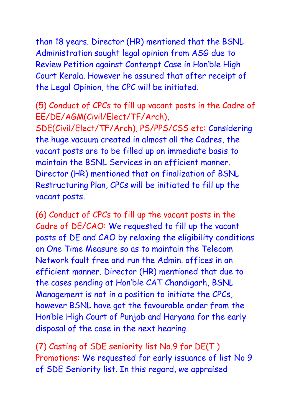than 18 years. Director (HR) mentioned that the BSNL Administration sought legal opinion from ASG due to Review Petition against Contempt Case in Hon'ble High Court Kerala. However he assured that after receipt of the Legal Opinion, the CPC will be initiated.

(5) Conduct of CPCs to fill up vacant posts in the Cadre of EE/DE/AGM(Civil/Elect/TF/Arch),

SDE(Civil/Elect/TF/Arch), PS/PPS/CSS etc: Considering the huge vacuum created in almost all the Cadres, the vacant posts are to be filled up on immediate basis to maintain the BSNL Services in an efficient manner. Director (HR) mentioned that on finalization of BSNL Restructuring Plan, CPCs will be initiated to fill up the vacant posts.

(6) Conduct of CPCs to fill up the vacant posts in the Cadre of DE/CAO: We requested to fill up the vacant posts of DE and CAO by relaxing the eligibility conditions on One Time Measure so as to maintain the Telecom Network fault free and run the Admin. offices in an efficient manner. Director (HR) mentioned that due to the cases pending at Hon'ble CAT Chandigarh, BSNL Management is not in a position to initiate the CPCs, however BSNL have got the favourable order from the Hon'ble High Court of Punjab and Haryana for the early disposal of the case in the next hearing.

(7) Casting of SDE seniority list No.9 for DE(T ) Promotions: We requested for early issuance of list No 9 of SDE Seniority list. In this regard, we appraised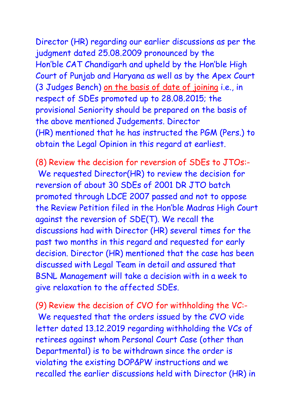Director (HR) regarding our earlier discussions as per the judgment dated 25.08.2009 pronounced by the Hon'ble CAT Chandigarh and upheld by the Hon'ble High Court of Punjab and Haryana as well as by the Apex Court (3 Judges Bench) on the basis of date of joining i.e., in respect of SDEs promoted up to 28.08.2015; the provisional Seniority should be prepared on the basis of the above mentioned Judgements. Director (HR) mentioned that he has instructed the PGM (Pers.) to obtain the Legal Opinion in this regard at earliest.

(8) Review the decision for reversion of SDEs to JTOs:- We requested Director(HR) to review the decision for reversion of about 30 SDEs of 2001 DR JTO batch promoted through LDCE 2007 passed and not to oppose the Review Petition filed in the Hon'ble Madras High Court against the reversion of SDE(T). We recall the discussions had with Director (HR) several times for the past two months in this regard and requested for early decision. Director (HR) mentioned that the case has been discussed with Legal Team in detail and assured that BSNL Management will take a decision with in a week to give relaxation to the affected SDEs.

(9) Review the decision of CVO for withholding the VC:- We requested that the orders issued by the CVO vide letter dated 13.12.2019 regarding withholding the VCs of retirees against whom Personal Court Case (other than Departmental) is to be withdrawn since the order is violating the existing DOP&PW instructions and we recalled the earlier discussions held with Director (HR) in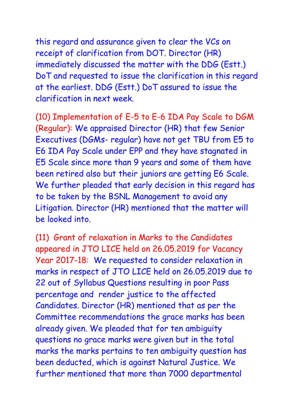this regard and assurance given to clear the VCs on receipt of clarification from DOT. Director (HR) immediately discussed the matter with the DDG (Estt.) DoT and requested to issue the clarification in this regard at the earliest. DDG (Estt.) DoT assured to issue the clarification in next week.

(10) Implementation of E-5 to E-6 IDA Pay Scale to DGM (Regular): We appraised Director (HR) that few Senior Executives (DGMs- regular) have not get TBU from E5 to E6 IDA Pay Scale under EPP and they have stagnated in E5 Scale since more than 9 years and some of them have been retired also but their juniors are getting E6 Scale. We further pleaded that early decision in this regard has to be taken by the BSNL Management to avoid any Litigation. Director (HR) mentioned that the matter will be looked into.

(11) Grant of relaxation in Marks to the Candidates appeared in JTO LICE held on 26.05.2019 for Vacancy Year 2017-18: We requested to consider relaxation in marks in respect of JTO LICE held on 26.05.2019 due to 22 out of Syllabus Questions resulting in poor Pass percentage and render justice to the affected Candidates. Director (HR) mentioned that as per the Committee recommendations the grace marks has been already given. We pleaded that for ten ambiguity questions no grace marks were given but in the total marks the marks pertains to ten ambiguity question has been deducted, which is against Natural Justice. We further mentioned that more than 7000 departmental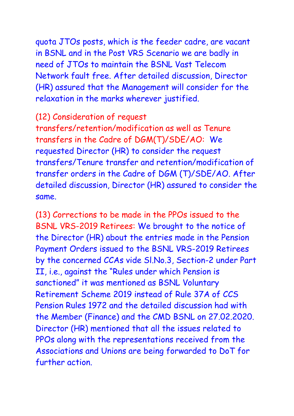quota JTOs posts, which is the feeder cadre, are vacant in BSNL and in the Post VRS Scenario we are badly in need of JTOs to maintain the BSNL Vast Telecom Network fault free. After detailed discussion, Director (HR) assured that the Management will consider for the relaxation in the marks wherever justified.

#### (12) Consideration of request

transfers/retention/modification as well as Tenure transfers in the Cadre of DGM(T)/SDE/AO: We requested Director (HR) to consider the request transfers/Tenure transfer and retention/modification of transfer orders in the Cadre of DGM (T)/SDE/AO. After detailed discussion, Director (HR) assured to consider the same.

(13) Corrections to be made in the PPOs issued to the BSNL VRS-2019 Retirees: We brought to the notice of the Director (HR) about the entries made in the Pension Payment Orders issued to the BSNL VRS-2019 Retirees by the concerned CCAs vide Sl.No.3, Section-2 under Part II, i.e., against the "Rules under which Pension is sanctioned" it was mentioned as BSNL Voluntary Retirement Scheme 2019 instead of Rule 37A of CCS Pension Rules 1972 and the detailed discussion had with the Member (Finance) and the CMD BSNL on 27.02.2020. Director (HR) mentioned that all the issues related to PPOs along with the representations received from the Associations and Unions are being forwarded to DoT for further action.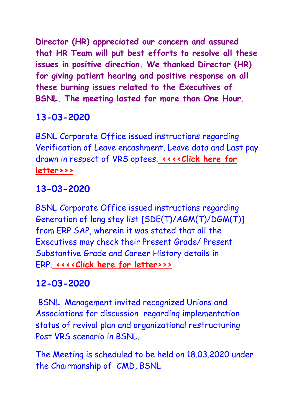**Director (HR) appreciated our concern and assured that HR Team will put best efforts to resolve all these issues in positive direction. We thanked Director (HR) for giving patient hearing and positive response on all these burning issues related to the Executives of BSNL. The meeting lasted for more than One Hour.**

# **13-03-2020**

BSNL Corporate Office issued instructions regarding Verification of Leave encashment, Leave data and Last pay drawn in respect of VRS optees. **[<<<<Click here](http://www.aibsnleachq.in/Leave%20encashment.jpg) for [letter>>>](http://www.aibsnleachq.in/Leave%20encashment.jpg)**

# **13-03-2020**

BSNL Corporate Office issued instructions regarding Generation of long stay list [SDE(T)/AGM(T)/DGM(T)] from ERP SAP, wherein it was stated that all the Executives may check their Present Grade/ Present Substantive Grade and Career History details in ERP. **[<<<<Click here for letter>>>](http://www.aibsnleachq.in/P-1_longstay_1103.PDF)**

### **12-03-2020**

BSNL Management invited recognized Unions and Associations for discussion regarding implementation status of revival plan and organizational restructuring Post VRS scenario in BSNL.

The Meeting is scheduled to be held on 18.03.2020 under the Chairmanship of CMD, BSNL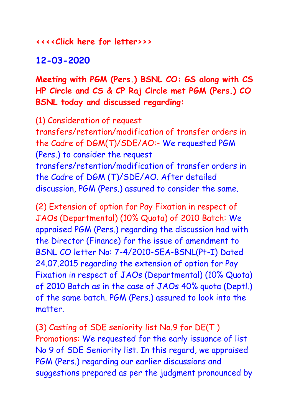#### **[<<<<Click here for letter>>>](http://www.aibsnleachq.in/AIBSNLEA.pdf)**

## **12-03-2020**

**Meeting with PGM (Pers.) BSNL CO: GS along with CS HP Circle and CS & CP Raj Circle met PGM (Pers.) CO BSNL today and discussed regarding:**

(1) Consideration of request transfers/retention/modification of transfer orders in the Cadre of DGM(T)/SDE/AO:- We requested PGM (Pers.) to consider the request transfers/retention/modification of transfer orders in the Cadre of DGM (T)/SDE/AO. After detailed discussion, PGM (Pers.) assured to consider the same.

(2) Extension of option for Pay Fixation in respect of JAOs (Departmental) (10% Quota) of 2010 Batch: We appraised PGM (Pers.) regarding the discussion had with the Director (Finance) for the issue of amendment to BSNL CO letter No: 7-4/2010-SEA-BSNL(Pt-I) Dated 24.07.2015 regarding the extension of option for Pay Fixation in respect of JAOs (Departmental) (10% Quota) of 2010 Batch as in the case of JAOs 40% quota (Deptl.) of the same batch. PGM (Pers.) assured to look into the matter.

(3) Casting of SDE seniority list No.9 for DE(T ) Promotions: We requested for the early issuance of list No 9 of SDE Seniority list. In this regard, we appraised PGM (Pers.) regarding our earlier discussions and suggestions prepared as per the judgment pronounced by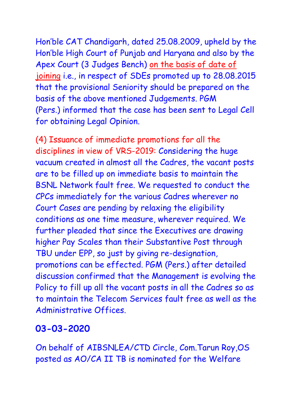Hon'ble CAT Chandigarh, dated 25.08.2009, upheld by the Hon'ble High Court of Punjab and Haryana and also by the Apex Court (3 Judges Bench) on the basis of date of joining i.e., in respect of SDEs promoted up to 28.08.2015 that the provisional Seniority should be prepared on the basis of the above mentioned Judgements. PGM (Pers.) informed that the case has been sent to Legal Cell for obtaining Legal Opinion.

(4) Issuance of immediate promotions for all the disciplines in view of VRS-2019: Considering the huge vacuum created in almost all the Cadres, the vacant posts are to be filled up on immediate basis to maintain the BSNL Network fault free. We requested to conduct the CPCs immediately for the various Cadres wherever no Court Cases are pending by relaxing the eligibility conditions as one time measure, wherever required. We further pleaded that since the Executives are drawing higher Pay Scales than their Substantive Post through TBU under EPP, so just by giving re-designation, promotions can be effected. PGM (Pers.) after detailed discussion confirmed that the Management is evolving the Policy to fill up all the vacant posts in all the Cadres so as to maintain the Telecom Services fault free as well as the Administrative Offices.

#### **03-03-2020**

On behalf of AIBSNLEA/CTD Circle, Com.Tarun Roy,OS posted as AO/CA II TB is nominated for the Welfare